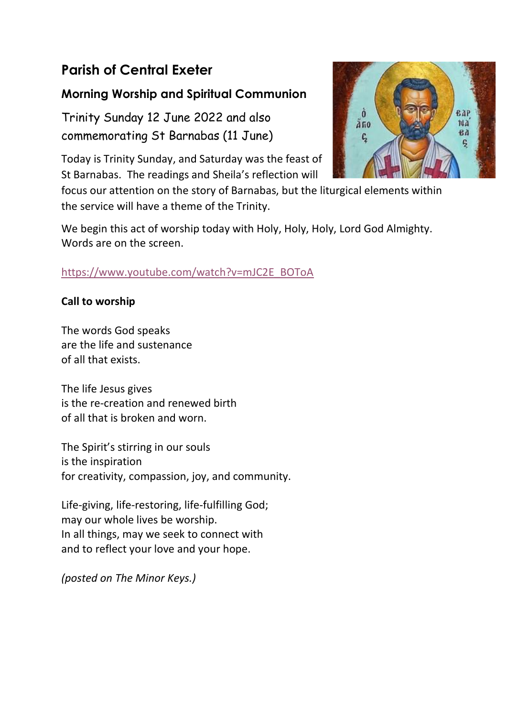# **Parish of Central Exeter**

## **Morning Worship and Spiritual Communion**

Trinity Sunday 12 June 2022 and also commemorating St Barnabas (11 June)

Today is Trinity Sunday, and Saturday was the feast of St Barnabas. The readings and Sheila's reflection will

focus our attention on the story of Barnabas, but the liturgical elements within the service will have a theme of the Trinity.

We begin this act of worship today with Holy, Holy, Holy, Lord God Almighty. Words are on the screen.

## [https://www.youtube.com/watch?v=mJC2E\\_BOToA](https://www.youtube.com/watch?v=mJC2E_BOToA)

## **Call to worship**

The words God speaks are the life and sustenance of all that exists.

The life Jesus gives is the re-creation and renewed birth of all that is broken and worn.

The Spirit's stirring in our souls is the inspiration for creativity, compassion, joy, and community.

Life-giving, life-restoring, life-fulfilling God; may our whole lives be worship. In all things, may we seek to connect with and to reflect your love and your hope.

*(posted on The Minor Keys.)*

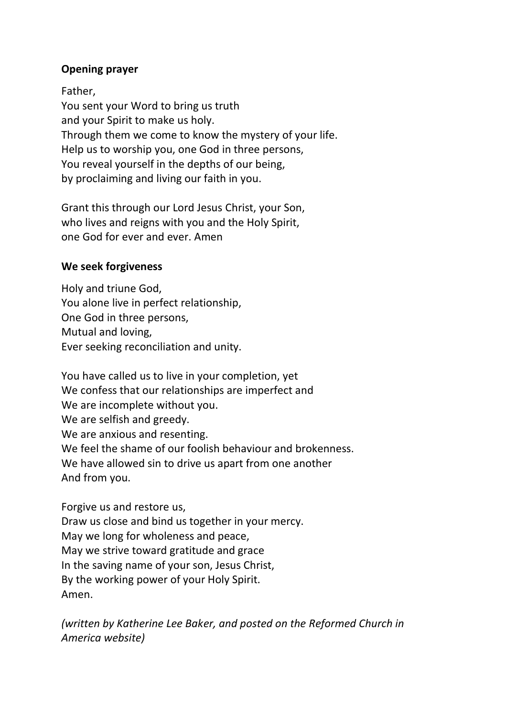#### **Opening prayer**

Father,

You sent your Word to bring us truth and your Spirit to make us holy. Through them we come to know the mystery of your life. Help us to worship you, one God in three persons, You reveal yourself in the depths of our being, by proclaiming and living our faith in you.

Grant this through our Lord Jesus Christ, your Son, who lives and reigns with you and the Holy Spirit, one God for ever and ever. Amen

#### **We seek forgiveness**

Holy and triune God, You alone live in perfect relationship, One God in three persons, Mutual and loving, Ever seeking reconciliation and unity.

You have called us to live in your completion, yet We confess that our relationships are imperfect and We are incomplete without you. We are selfish and greedy. We are anxious and resenting. We feel the shame of our foolish behaviour and brokenness. We have allowed sin to drive us apart from one another And from you.

Forgive us and restore us, Draw us close and bind us together in your mercy. May we long for wholeness and peace, May we strive toward gratitude and grace In the saving name of your son, Jesus Christ, By the working power of your Holy Spirit. Amen.

*(written by Katherine Lee Baker, and posted on the Reformed Church in America website)*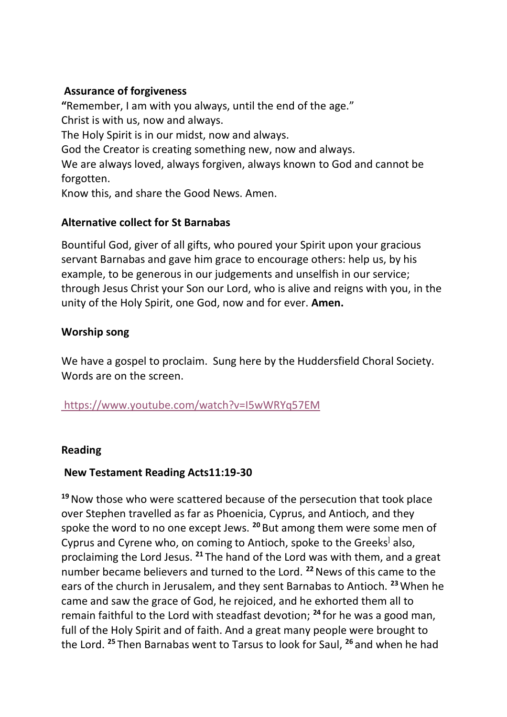#### **Assurance of forgiveness**

**"**Remember, I am with you always, until the end of the age." Christ is with us, now and always. The Holy Spirit is in our midst, now and always. God the Creator is creating something new, now and always. We are always loved, always forgiven, always known to God and cannot be forgotten.

Know this, and share the Good News. Amen.

#### **Alternative collect for St Barnabas**

Bountiful God, giver of all gifts, who poured your Spirit upon your gracious servant Barnabas and gave him grace to encourage others: help us, by his example, to be generous in our judgements and unselfish in our service; through Jesus Christ your Son our Lord, who is alive and reigns with you, in the unity of the Holy Spirit, one God, now and for ever. **Amen.**

### **Worship song**

We have a gospel to proclaim. Sung here by the Huddersfield Choral Society. Words are on the screen.

#### <https://www.youtube.com/watch?v=I5wWRYq57EM>

#### **Reading**

#### **New Testament Reading Acts11:19-30**

**<sup>19</sup>**Now those who were scattered because of the persecution that took place over Stephen travelled as far as Phoenicia, Cyprus, and Antioch, and they spoke the word to no one except Jews. **<sup>20</sup>** But among them were some men of Cyprus and Cyrene who, on coming to Antioch, spoke to the Greeks<sup>]</sup> also, proclaiming the Lord Jesus. **<sup>21</sup>** The hand of the Lord was with them, and a great number became believers and turned to the Lord. **<sup>22</sup>**News of this came to the ears of the church in Jerusalem, and they sent Barnabas to Antioch. **<sup>23</sup>**When he came and saw the grace of God, he rejoiced, and he exhorted them all to remain faithful to the Lord with steadfast devotion; **<sup>24</sup>** for he was a good man, full of the Holy Spirit and of faith. And a great many people were brought to the Lord. **<sup>25</sup>** Then Barnabas went to Tarsus to look for Saul, **<sup>26</sup>** and when he had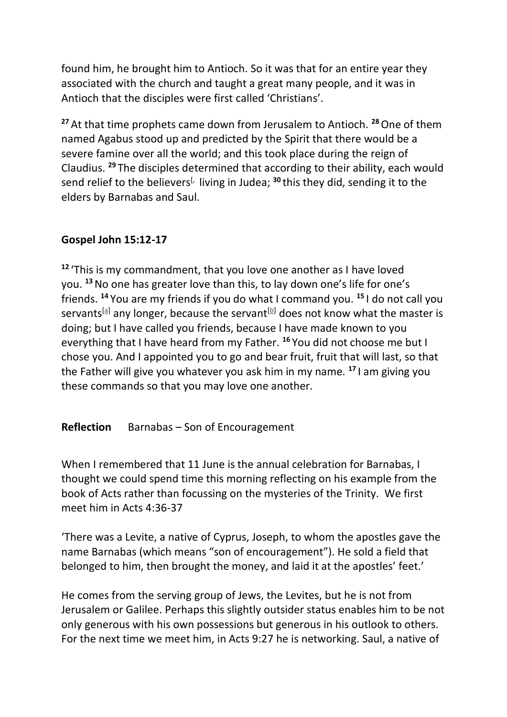found him, he brought him to Antioch. So it was that for an entire year they associated with the church and taught a great many people, and it was in Antioch that the disciples were first called 'Christians'.

<sup>27</sup> At that time prophets came down from Jerusalem to Antioch.<sup>28</sup> One of them named Agabus stood up and predicted by the Spirit that there would be a severe famine over all the world; and this took place during the reign of Claudius. **<sup>29</sup>** The disciples determined that according to their ability, each would send relief to the believers<sup>[, living in Judea; <sup>30</sup> this they did, sending it to the</sup> elders by Barnabas and Saul.

#### **Gospel John 15:12-17**

**<sup>12</sup>** 'This is my commandment, that you love one another as I have loved you. **<sup>13</sup>**No one has greater love than this, to lay down one's life for one's friends. **<sup>14</sup>** You are my friends if you do what I command you. **<sup>15</sup>** I do not call you servants<sup>[\[a\]](https://www.biblegateway.com/passage/?search=John+15%3A12-17&version=NRSVA#fen-NRSVA-26704a)</sup> any longer, because the servant<sup>[\[b\]](https://www.biblegateway.com/passage/?search=John+15%3A12-17&version=NRSVA#fen-NRSVA-26704b)</sup> does not know what the master is doing; but I have called you friends, because I have made known to you everything that I have heard from my Father. **<sup>16</sup>** You did not choose me but I chose you. And I appointed you to go and bear fruit, fruit that will last, so that the Father will give you whatever you ask him in my name. **<sup>17</sup>** I am giving you these commands so that you may love one another.

**Reflection** Barnabas – Son of Encouragement

When I remembered that 11 June is the annual celebration for Barnabas, I thought we could spend time this morning reflecting on his example from the book of Acts rather than focussing on the mysteries of the Trinity. We first meet him in Acts 4:36-37

'There was a Levite, a native of Cyprus, Joseph, to whom the apostles gave the name Barnabas (which means "son of encouragement"). He sold a field that belonged to him, then brought the money, and laid it at the apostles' feet.'

He comes from the serving group of Jews, the Levites, but he is not from Jerusalem or Galilee. Perhaps this slightly outsider status enables him to be not only generous with his own possessions but generous in his outlook to others. For the next time we meet him, in Acts 9:27 he is networking. Saul, a native of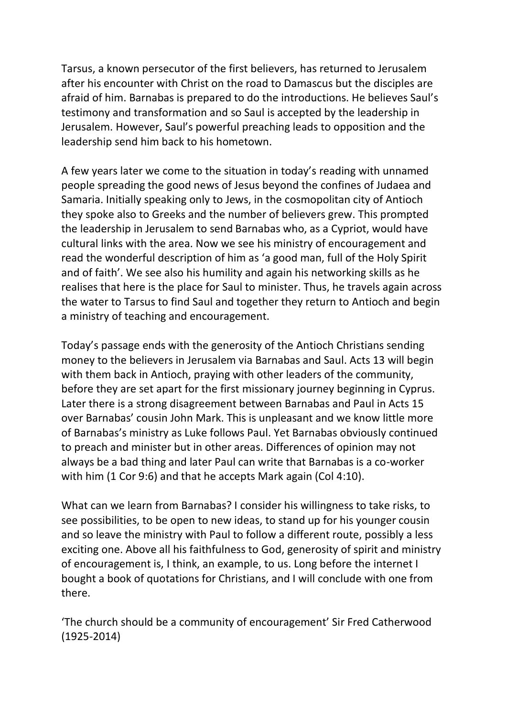Tarsus, a known persecutor of the first believers, has returned to Jerusalem after his encounter with Christ on the road to Damascus but the disciples are afraid of him. Barnabas is prepared to do the introductions. He believes Saul's testimony and transformation and so Saul is accepted by the leadership in Jerusalem. However, Saul's powerful preaching leads to opposition and the leadership send him back to his hometown.

A few years later we come to the situation in today's reading with unnamed people spreading the good news of Jesus beyond the confines of Judaea and Samaria. Initially speaking only to Jews, in the cosmopolitan city of Antioch they spoke also to Greeks and the number of believers grew. This prompted the leadership in Jerusalem to send Barnabas who, as a Cypriot, would have cultural links with the area. Now we see his ministry of encouragement and read the wonderful description of him as 'a good man, full of the Holy Spirit and of faith'. We see also his humility and again his networking skills as he realises that here is the place for Saul to minister. Thus, he travels again across the water to Tarsus to find Saul and together they return to Antioch and begin a ministry of teaching and encouragement.

Today's passage ends with the generosity of the Antioch Christians sending money to the believers in Jerusalem via Barnabas and Saul. Acts 13 will begin with them back in Antioch, praying with other leaders of the community, before they are set apart for the first missionary journey beginning in Cyprus. Later there is a strong disagreement between Barnabas and Paul in Acts 15 over Barnabas' cousin John Mark. This is unpleasant and we know little more of Barnabas's ministry as Luke follows Paul. Yet Barnabas obviously continued to preach and minister but in other areas. Differences of opinion may not always be a bad thing and later Paul can write that Barnabas is a co-worker with him (1 Cor 9:6) and that he accepts Mark again (Col 4:10).

What can we learn from Barnabas? I consider his willingness to take risks, to see possibilities, to be open to new ideas, to stand up for his younger cousin and so leave the ministry with Paul to follow a different route, possibly a less exciting one. Above all his faithfulness to God, generosity of spirit and ministry of encouragement is, I think, an example, to us. Long before the internet I bought a book of quotations for Christians, and I will conclude with one from there.

'The church should be a community of encouragement' Sir Fred Catherwood (1925-2014)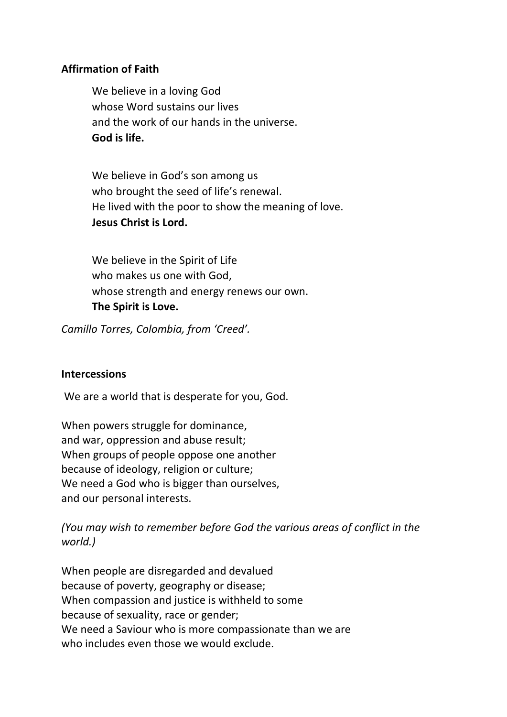#### **Affirmation of Faith**

We believe in a loving God whose Word sustains our lives and the work of our hands in the universe. **God is life.**

We believe in God's son among us who brought the seed of life's renewal. He lived with the poor to show the meaning of love. **Jesus Christ is Lord.**

We believe in the Spirit of Life who makes us one with God, whose strength and energy renews our own. **The Spirit is Love.**

*Camillo Torres, Colombia, from 'Creed'.*

#### **Intercessions**

We are a world that is desperate for you, God.

When powers struggle for dominance, and war, oppression and abuse result; When groups of people oppose one another because of ideology, religion or culture; We need a God who is bigger than ourselves, and our personal interests.

*(You may wish to remember before God the various areas of conflict in the world.)*

When people are disregarded and devalued because of poverty, geography or disease; When compassion and justice is withheld to some because of sexuality, race or gender; We need a Saviour who is more compassionate than we are who includes even those we would exclude.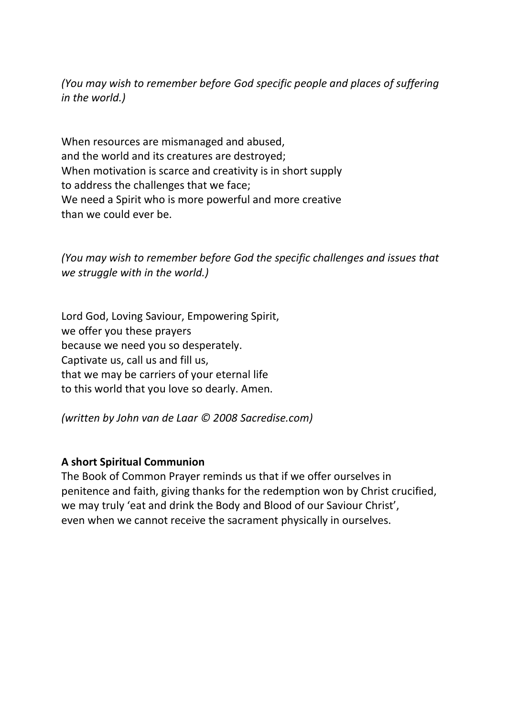*(You may wish to remember before God specific people and places of suffering in the world.)*

When resources are mismanaged and abused, and the world and its creatures are destroyed; When motivation is scarce and creativity is in short supply to address the challenges that we face; We need a Spirit who is more powerful and more creative than we could ever be.

*(You may wish to remember before God the specific challenges and issues that we struggle with in the world.)*

Lord God, Loving Saviour, Empowering Spirit, we offer you these prayers because we need you so desperately. Captivate us, call us and fill us, that we may be carriers of your eternal life to this world that you love so dearly. Amen.

*(written by John van de Laar © 2008 Sacredise.com)*

#### **A short Spiritual Communion**

The Book of Common Prayer reminds us that if we offer ourselves in penitence and faith, giving thanks for the redemption won by Christ crucified, we may truly 'eat and drink the Body and Blood of our Saviour Christ', even when we cannot receive the sacrament physically in ourselves.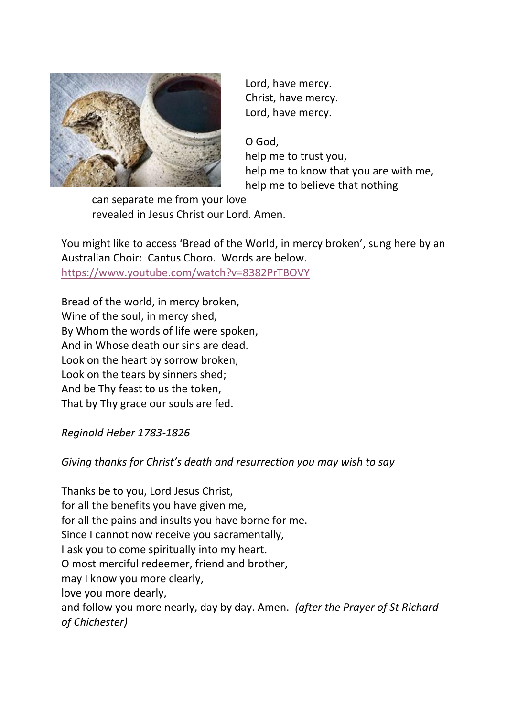

Lord, have mercy. Christ, have mercy. Lord, have mercy.

O God, help me to trust you, help me to know that you are with me, help me to believe that nothing

can separate me from your love revealed in Jesus Christ our Lord. Amen.

You might like to access 'Bread of the World, in mercy broken', sung here by an Australian Choir: Cantus Choro. Words are below. <https://www.youtube.com/watch?v=8382PrTBOVY>

Bread of the world, in mercy broken, Wine of the soul, in mercy shed, By Whom the words of life were spoken, And in Whose death our sins are dead. Look on the heart by sorrow broken, Look on the tears by sinners shed; And be Thy feast to us the token, That by Thy grace our souls are fed.

*Reginald Heber 1783-1826*

*Giving thanks for Christ's death and resurrection you may wish to say*

Thanks be to you, Lord Jesus Christ, for all the benefits you have given me, for all the pains and insults you have borne for me. Since I cannot now receive you sacramentally, I ask you to come spiritually into my heart. O most merciful redeemer, friend and brother, may I know you more clearly, love you more dearly, and follow you more nearly, day by day. Amen. *(after the Prayer of St Richard of Chichester)*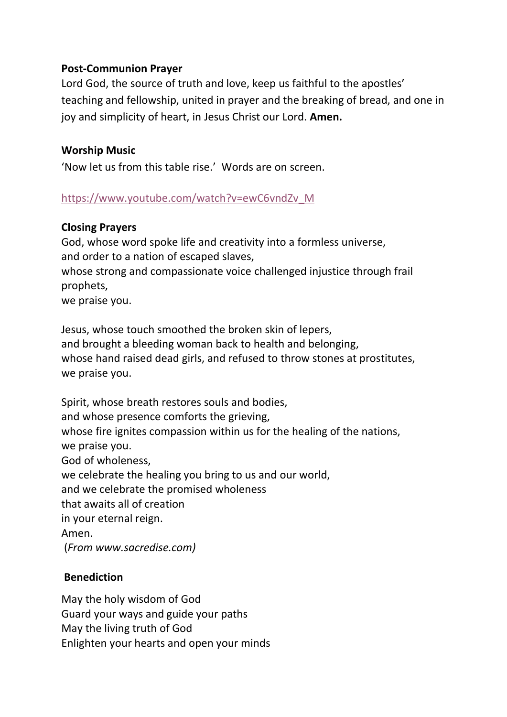#### **Post-Communion Prayer**

Lord God, the source of truth and love, keep us faithful to the apostles' teaching and fellowship, united in prayer and the breaking of bread, and one in joy and simplicity of heart, in Jesus Christ our Lord. **Amen.**

#### **Worship Music**

'Now let us from this table rise.' Words are on screen.

#### [https://www.youtube.com/watch?v=ewC6vndZv\\_M](https://www.youtube.com/watch?v=ewC6vndZv_M)

#### **Closing Prayers**

God, whose word spoke life and creativity into a formless universe, and order to a nation of escaped slaves, whose strong and compassionate voice challenged injustice through frail prophets, we praise you.

Jesus, whose touch smoothed the broken skin of lepers, and brought a bleeding woman back to health and belonging, whose hand raised dead girls, and refused to throw stones at prostitutes, we praise you.

Spirit, whose breath restores souls and bodies, and whose presence comforts the grieving, whose fire ignites compassion within us for the healing of the nations, we praise you. God of wholeness, we celebrate the healing you bring to us and our world, and we celebrate the promised wholeness that awaits all of creation in your eternal reign. Amen. (*From www.sacredise.com)*

#### **Benediction**

May the holy wisdom of God Guard your ways and guide your paths May the living truth of God Enlighten your hearts and open your minds